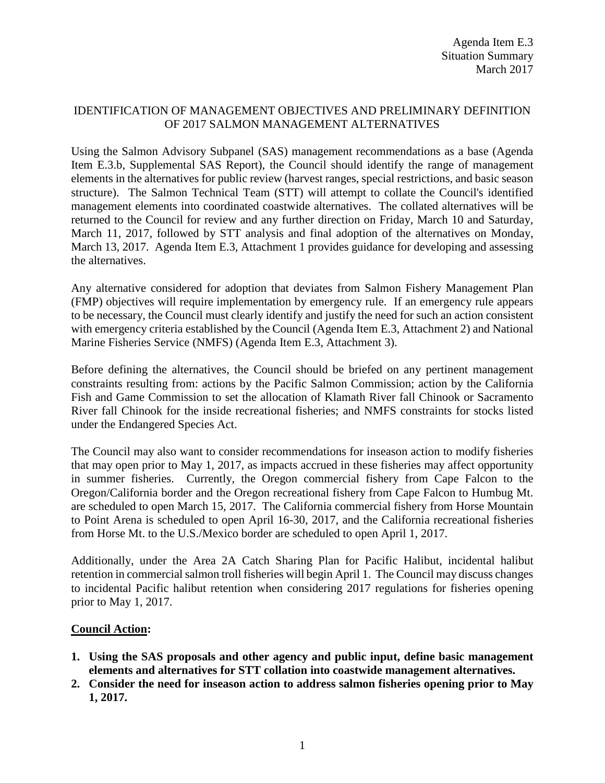## IDENTIFICATION OF MANAGEMENT OBJECTIVES AND PRELIMINARY DEFINITION OF 2017 SALMON MANAGEMENT ALTERNATIVES

Using the Salmon Advisory Subpanel (SAS) management recommendations as a base (Agenda Item E.3.b, Supplemental SAS Report), the Council should identify the range of management elements in the alternatives for public review (harvest ranges, special restrictions, and basic season structure). The Salmon Technical Team (STT) will attempt to collate the Council's identified management elements into coordinated coastwide alternatives. The collated alternatives will be returned to the Council for review and any further direction on Friday, March 10 and Saturday, March 11, 2017, followed by STT analysis and final adoption of the alternatives on Monday, March 13, 2017. Agenda Item E.3, Attachment 1 provides guidance for developing and assessing the alternatives.

Any alternative considered for adoption that deviates from Salmon Fishery Management Plan (FMP) objectives will require implementation by emergency rule. If an emergency rule appears to be necessary, the Council must clearly identify and justify the need for such an action consistent with emergency criteria established by the Council (Agenda Item E.3, Attachment 2) and National Marine Fisheries Service (NMFS) (Agenda Item E.3, Attachment 3).

Before defining the alternatives, the Council should be briefed on any pertinent management constraints resulting from: actions by the Pacific Salmon Commission; action by the California Fish and Game Commission to set the allocation of Klamath River fall Chinook or Sacramento River fall Chinook for the inside recreational fisheries; and NMFS constraints for stocks listed under the Endangered Species Act.

The Council may also want to consider recommendations for inseason action to modify fisheries that may open prior to May 1, 2017, as impacts accrued in these fisheries may affect opportunity in summer fisheries. Currently, the Oregon commercial fishery from Cape Falcon to the Oregon/California border and the Oregon recreational fishery from Cape Falcon to Humbug Mt. are scheduled to open March 15, 2017. The California commercial fishery from Horse Mountain to Point Arena is scheduled to open April 16-30, 2017, and the California recreational fisheries from Horse Mt. to the U.S./Mexico border are scheduled to open April 1, 2017.

Additionally, under the Area 2A Catch Sharing Plan for Pacific Halibut, incidental halibut retention in commercial salmon troll fisheries will begin April 1. The Council may discuss changes to incidental Pacific halibut retention when considering 2017 regulations for fisheries opening prior to May 1, 2017.

## **Council Action:**

- **1. Using the SAS proposals and other agency and public input, define basic management elements and alternatives for STT collation into coastwide management alternatives.**
- **2. Consider the need for inseason action to address salmon fisheries opening prior to May 1, 2017.**